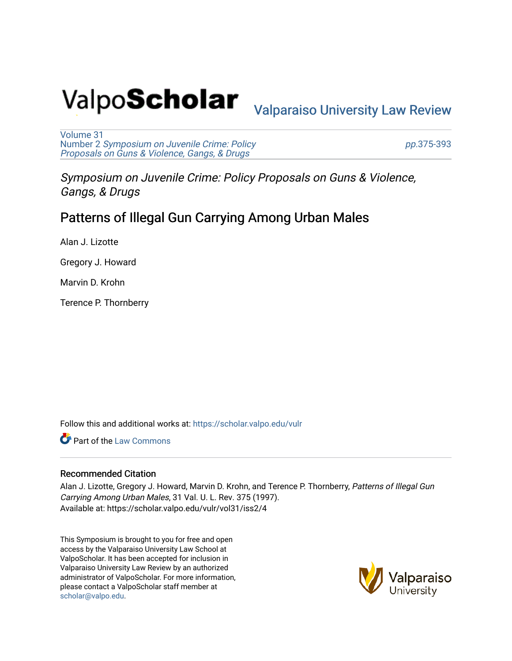# Valpo**Scholar** <sub>Valparaiso University Law Review</sub>

[Volume 31](https://scholar.valpo.edu/vulr/vol31) Number 2 [Symposium on Juvenile Crime: Policy](https://scholar.valpo.edu/vulr/vol31/iss2)  [Proposals on Guns & Violence, Gangs, & Drugs](https://scholar.valpo.edu/vulr/vol31/iss2)

pp.[375-393](https://scholar.valpo.edu/vulr/vol31/iss2/4) 

Symposium on Juvenile Crime: Policy Proposals on Guns & Violence, Gangs, & Drugs

# Patterns of Illegal Gun Carrying Among Urban Males

Alan J. Lizotte

Gregory J. Howard

Marvin D. Krohn

Terence P. Thornberry

Follow this and additional works at: [https://scholar.valpo.edu/vulr](https://scholar.valpo.edu/vulr?utm_source=scholar.valpo.edu%2Fvulr%2Fvol31%2Fiss2%2F4&utm_medium=PDF&utm_campaign=PDFCoverPages)

**C** Part of the [Law Commons](http://network.bepress.com/hgg/discipline/578?utm_source=scholar.valpo.edu%2Fvulr%2Fvol31%2Fiss2%2F4&utm_medium=PDF&utm_campaign=PDFCoverPages)

#### Recommended Citation

Alan J. Lizotte, Gregory J. Howard, Marvin D. Krohn, and Terence P. Thornberry, Patterns of Illegal Gun Carrying Among Urban Males, 31 Val. U. L. Rev. 375 (1997). Available at: https://scholar.valpo.edu/vulr/vol31/iss2/4

This Symposium is brought to you for free and open access by the Valparaiso University Law School at ValpoScholar. It has been accepted for inclusion in Valparaiso University Law Review by an authorized administrator of ValpoScholar. For more information, please contact a ValpoScholar staff member at [scholar@valpo.edu](mailto:scholar@valpo.edu).

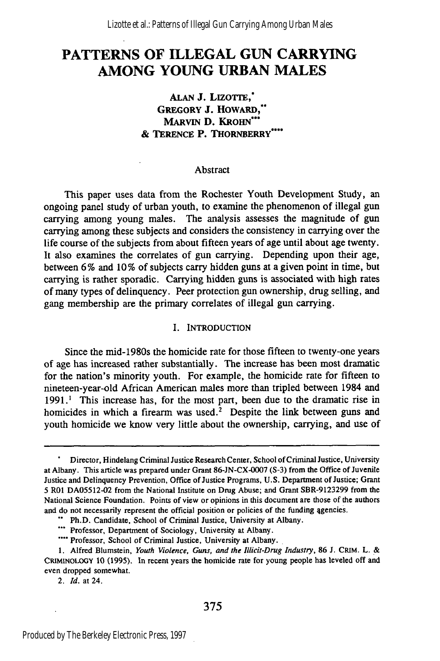## **PATTERNS OF ILLEGAL GUN CARRYING AMONG YOUNG URBAN MALES**

#### **ALAN J. LIzoTrE, GREGORY J. HowARD,\*\* MARVIN D. KROHN\* & TERENCE P. THORNBERRY\*...**

#### Abstract

This paper uses data from the Rochester Youth Development Study, an ongoing panel study of urban youth, to examine the phenomenon of illegal gun carrying among young males. The analysis assesses the magnitude of gun carrying among these subjects and considers the consistency in carrying over the life course of the subjects from about fifteen years of age until about age twenty. It also examines the correlates of gun carrying. Depending upon their age, between 6% and 10% of subjects carry hidden guns at a given point in time, but carrying is rather sporadic. Carrying hidden guns is associated with high rates of many types of delinquency. Peer protection gun ownership, drug selling, and gang membership are the primary correlates of illegal gun carrying.

#### I. INTRODUCTION

Since the mid-1980s the homicide rate for those fifteen to twenty-one years of age has increased rather substantially. The increase has been most dramatic for the nation's minority youth. For example, the homicide rate for fifteen to nineteen-year-old African American males more than tripled between 1984 and 1991.<sup>1</sup> This increase has, for the most part, been due to the dramatic rise in homicides in which a firearm was used.<sup>2</sup> Despite the link between guns and youth homicide we know very little about the ownership, carrying, and use of

2. **Id.** at 24.

Director, Hindelang Criminal Justice Research Center, School of Criminal Justice, University at Albany. This article was prepared under Grant 86-JN-CX-0007 (S-3) from the Office of Juvenile Justice and Delinquency Prevention, Office of Justice Programs, U.S. Department of Justice; Grant 5 R01 DA05512-02 from the National Institute on Drug Abuse; and Grant SBR-9123299 from the National Science Foundation. Points of view or opinions in this document are those of the authors and do not necessarily represent the official position or policies of the funding 4gencies.

Ph.D. Candidate, School of Criminal Justice, University at Albany.

<sup>\*\*\*</sup> Professor, Department of Sociology, University at Albany.

Professor, School of Criminal Justice, University at Albany.

<sup>1.</sup> Alfred Blumstein, *Youth Violence, Guns, and the Illicit-Drug Industry,* **86** J. CRM. L. & **CRIMINOLOGY 10** (1995). In recent years the homicide rate for young people has leveled off and even dropped somewhat.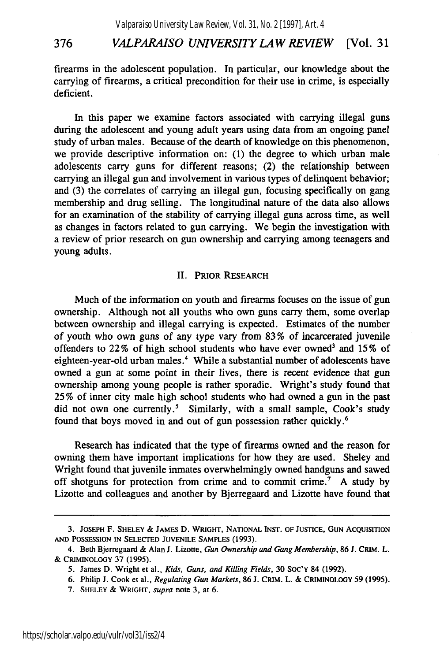firearms in the adolescent population. In particular, our knowledge about the carrying of firearms, a critical precondition for their use in crime, is especially deficient.

In this paper we examine factors associated with carrying illegal guns during the adolescent and young adult years using data from an ongoing panel study of urban males. Because of the dearth of knowledge on this phenomenon, we provide descriptive information on: (1) the degree to which urban male adolescents carry guns for different reasons; (2) the relationship between carrying an illegal gun and involvement in various types of delinquent behavior; and (3) the correlates of carrying an illegal gun, focusing specifically on gang membership and drug selling. The longitudinal nature of the data also allows for an examination of the stability of carrying illegal guns across time, as well as changes in factors related to gun carrying. We begin the investigation with a review of prior research on gun ownership and carrying among teenagers and young adults.

#### **II.** PRIOR **RESEARCH**

Much of the information on youth and firearms focuses on the issue of gun ownership. Although not all youths who own guns carry them, some overlap between ownership and illegal carrying is expected. Estimates of the number of youth who own guns of any type vary from 83% of incarcerated juvenile offenders to 22% of high school students who have ever owned<sup>3</sup> and 15% of eighteen-year-old urban males.<sup>4</sup> While a substantial number of adolescents have owned a gun at some point in their lives, there is recent evidence that gun ownership among young people is rather sporadic. Wright's study found that 25% of inner city male high school students who had owned a gun in the past did not own one currently.<sup>5</sup> Similarly, with a small sample, Cook's study found that boys moved in and out of gun possession rather quickly.<sup>6</sup>

Research has indicated that the type of firearms owned and the reason for owning them have important implications for how they are used. Sheley and Wright found that juvenile inmates overwhelmingly owned handguns and sawed off shotguns for protection from crime and to commit crime.<sup>7</sup> A study by Lizotte and colleagues and another by Bjerregaard and Lizotte have found that

**<sup>3.</sup> JOSEPH** F. SHELEY **&** JAMES **D.** WRIGHT, NATIONAL INST. OF **JUSTICE, GUN ACQUISITION AND POSSESSION IN SELECTED JUVENILE SAMPLES (1993).**

<sup>4.</sup> Beth Bjerregaard **&** Alan **J.** Lizotte, *Gun Ownership and Gang* Membership, **86 J.** CRIM. L. **&** CRIMINOLOGY 37 **(1995).**

<sup>5.</sup> James D. Wright et al., *Kids, Guns, and Killing Fields,* **30** SOC'Y 84 **(1992).**

**<sup>6.</sup>** Philip **J.** Cook et al., *Regulating Gun Markets,* **86 J.** CRIM. L. **&** CRIMINOLOGY 59 **(1995).**

**<sup>7.</sup>** SHELEY **&** WRIGHT, *supra* note 3, at 6.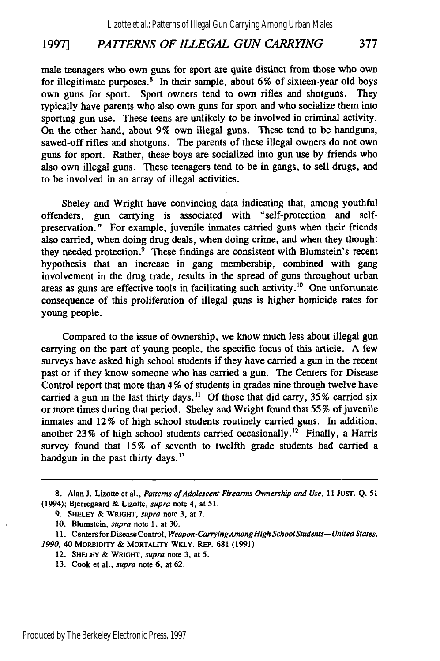### **1997]** *PAITERNS OF ILLEGAL GUN CARRYING* **377**

male teenagers who own guns for sport are quite distinct from those who own for illegitimate purposes. $\delta$  In their sample, about 6% of sixteen-year-old boys own guns for sport. Sport owners tend to own rifles and shotguns. They typically have parents who also own guns for sport and who socialize them into sporting gun use. These teens are unlikely to be involved in criminal activity. On the other hand, about 9% own illegal guns. These tend to be handguns, sawed-off rifles and shotguns. The parents of these illegal owners do not own guns for sport. Rather, these boys are socialized into gun use by friends who also own illegal guns. These teenagers tend to be in gangs, to sell drugs, and to be involved in an array of illegal activities.

Sheley and Wright have convincing data indicating that, among youthful offenders, gun carrying is associated with "self-protection and selfpreservation." For example, juvenile inmates carried guns when their friends also carried, when doing drug deals, when doing crime, and when they thought they needed protection. $\frac{9}{9}$  These findings are consistent with Blumstein's recent hypothesis that an increase in gang membership, combined with gang involvement in the drug trade, results in the spread of guns throughout urban areas as guns are effective tools in facilitating such activity.<sup>10</sup> One unfortunate consequence of this proliferation of illegal guns is higher homicide rates for young people.

Compared to the issue of ownership, we know much less about illegal gun carrying on the part of young people, the specific focus of this article. A few surveys have asked high school students if they have carried a gun in the recent past or if they know someone who has carried a gun. The Centers for Disease Control report that more than 4 % of students in grades nine through twelve have carried a gun in the last thirty days.<sup>11</sup> Of those that did carry,  $35\%$  carried six or more times during that period. Sheley and Wright found that 55% of juvenile inmates and 12% of high school students routinely carried guns. In addition, another  $23\%$  of high school students carried occasionally.<sup>12</sup> Finally, a Harris survey found that 15% of seventh to twelfth grade students had carried a handgun in the past thirty days. $^{13}$ 

<sup>8.</sup> Alan **J.** Lizotte et al., *Patterns of Adolescent Firearms Ownership and Use, 11 JUST.* Q. 51 (1994); Bjerregaard & Lizotte, *supra* note 4, at 51.

<sup>9.</sup> SHELEY & WRIGHT, *supra* note **3,** at 7.

<sup>10.</sup> Blumstein, *supra* note 1, at 30.

**<sup>11.</sup>** Centers forDisease Control, *Weapon-CarryingAmongHigh School Students- United States, 1990,* 40 MORBIDITY & MORTALITY WKLY. REP. **681** (1991).

<sup>12.</sup> SHELEY **&** WRIGHT, *supra* note **3,** at 5.

**<sup>13.</sup>** Cook et al., *supra* note 6, at 62.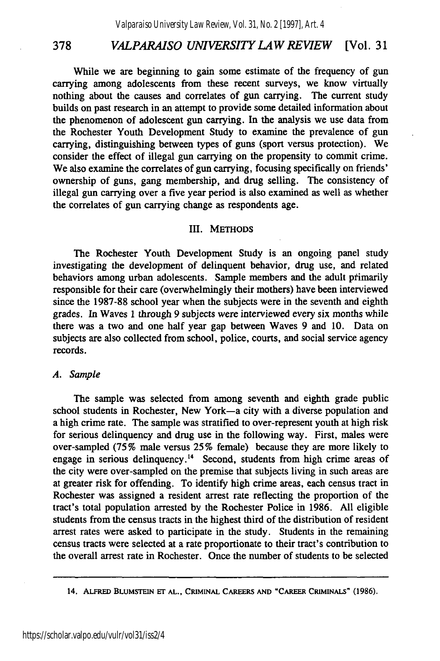While we are beginning to gain some estimate of the frequency of gun carrying among adolescents from these recent surveys, we know virtually nothing about the causes and correlates of gun carrying. The current study builds on past research in an attempt to provide some detailed information about the phenomenon of adolescent gun carrying. In the analysis we use data from the Rochester Youth Development Study to examine the prevalence of gun carrying, distinguishing between types of guns (sport versus protection). We consider the effect of illegal gun carrying on the propensity to commit crime. We also examine the correlates of gun carrying, focusing specifically on friends' ownership of guns, gang membership, and drug selling. The consistency of illegal gun carrying over a five year period is also examined as well as whether the correlates of gun carrying change as respondents age.

#### III. **METHODS**

The Rochester Youth Development Study is an ongoing panel study investigating the development of delinquent behavior, drug use, and related behaviors among urban adolescents. Sample members and the adult primarily responsible for their care (overwhelmingly their mothers) have been interviewed since the **1987-88** school year when the subjects were in the seventh and eighth grades. In Waves **1** through 9 subjects were interviewed every six months while there was a two and one half year gap between Waves **9** and **10.** Data on subjects are also collected from school, police, courts, and social service agency records.

#### *A. Sample*

The sample was selected from among seventh and eighth grade public school students in Rochester, New York-a city with a diverse population and a high crime rate. The sample was stratified to over-represent youth at high risk for serious delinquency and drug use in the following way. First, males were over-sampled (75 % male versus 25 % female) because they are more likely to engage in serious delinquency.<sup> $14$ </sup> Second, students from high crime areas of the city were over-sampled on the premise that subjects living in such areas are at greater risk for offending. To identify high crime areas, each census tract in Rochester was assigned a resident arrest rate reflecting the proportion of the tract's total population arrested by the Rochester Police in 1986. All eligible students from the census tracts in the highest third of the distribution of resident arrest rates were asked to participate in the study. Students in the remaining census tracts were selected at a rate proportionate to their tract's contribution to the overall arrest rate in Rochester. Once the number of students to be selected

**<sup>14.</sup> ALFRED BLUMSTEIN Er AL., CRIMINAL CAREERS AND "CAREER CRIMINALS" (1986).**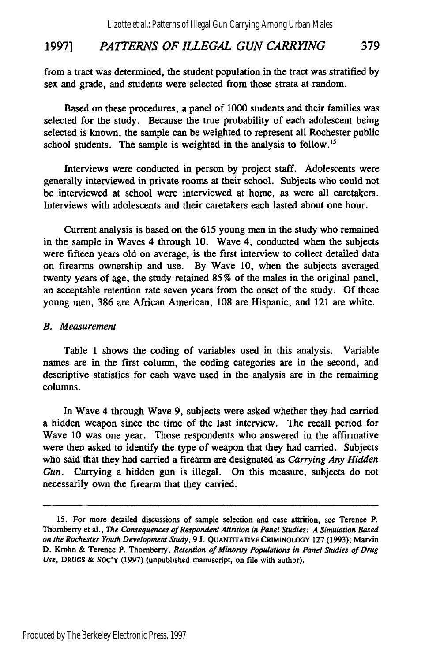#### **1997]** *PATTERNS OF ILLEGAL GUN CARRYING* **379**

from a tract was determined, the student population in the tract was stratified **by** sex and grade, and students were selected from those strata at random.

Based on these procedures, a panel of 1000 students and their families was selected for the study. Because the true probability of each adolescent being selected is known, the sample can be weighted to represent all Rochester public school students. The sample is weighted in the analysis to follow.<sup>15</sup>

Interviews were conducted in person **by** project staff. Adolescents were generally interviewed in private rooms at their school. Subjects who could not be interviewed at school were interviewed at home, as were all caretakers. Interviews with adolescents and their caretakers each lasted about one hour.

Current analysis is based on the **615** young men in the study who remained in the sample in Waves 4 through 10. Wave 4, conducted when the subjects were fifteen years old on average, is the first interview to collect detailed data on firearms ownership and use. **By** Wave **10,** when the subjects averaged twenty years of age, the study retained **85** % of the males in the original panel, an acceptable retention rate seven years from the onset of the study. Of these young men, **386** are African American, **108** are Hispanic, and 121 are white.

#### *B. Measurement*

Table 1 shows the coding of variables used in this analysis. Variable names are in the first column, the coding categories are in the second, and descriptive statistics for each wave used in the analysis are in the remaining columns.

In Wave 4 through Wave 9, subjects were asked whether they had carried a hidden weapon since the time of the last interview. The recall period for Wave 10 was one year. Those respondents who answered in the affirmative were then asked to identify the type of weapon that they had carried. Subjects who said that they had carried a firearm are designated as *Carrying Any Hidden Gun.* Carrying a hidden gun is illegal. On this measure, subjects do not necessarily own the firearm that they carried.

**<sup>15.</sup>** For more detailed discussions of sample selection and case attrition, see Terence P. Thornberry et al., *The Consequences of Respondent Attrition in Panel Studies: A Simulation Based on the Rochester Youth* Development *Study,* **9 J.** QUANTITATIVE CRIMINOLOGY **127 (1993);** Marvin **D.** Krohn **&** Terence P. Thornberry, *Retention of Minority Populations in Panel Studies of Drug Use,* **DRUGS &** SoC'Y **(1997)** (unpublished manuscript, on file with author).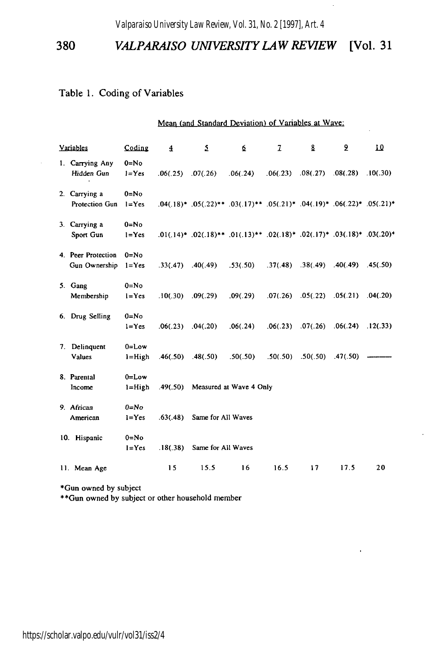#### Table 1. Coding of Variables

| Mean (and Standard Deviation) of Variables at Wave; |  |  |  |  |
|-----------------------------------------------------|--|--|--|--|
|-----------------------------------------------------|--|--|--|--|

| <b>Variables</b>                          | Coding                  | 4        | $\overline{2}$              | 6                                                                                            | z                                           | 8  | 2                                           | 10 |
|-------------------------------------------|-------------------------|----------|-----------------------------|----------------------------------------------------------------------------------------------|---------------------------------------------|----|---------------------------------------------|----|
| 1. Carrying Any<br>Hidden Gun             | $0 = No$<br>$l = Yes$   |          | $.06(.25)$ $.07(.26)$       | .06(.24)                                                                                     | .06(.23)                                    |    | $.08(.27)$ $.08(.28)$ $.10(.30)$            |    |
| 2. Carrying a<br>Protection Gun $1 = Yes$ | $0 = No$                |          |                             | $.04(.18)$ * $.05(.22)$ ** $.03(.17)$ ** $.05(.21)$ * $.04(.19)$ * $.06(.22)$ * $.05(.21)$ * |                                             |    |                                             |    |
| 3. Carrying a<br>Sport Gun                | $0 = No$<br>$1 = Yes$   |          |                             | $.01(.14)*.02(.18)**.01(.13)**.02(.18)*.02(.17)*.03(.18)*.03(.20)*$                          |                                             |    |                                             |    |
| 4. Peer Protection<br>Gun Ownership       | $0 = No$<br>$l = Yes$   |          | $.33(.47)$ $.40(.49)$       | .53(.50)                                                                                     | $.37(.48)$ $.38(.49)$ $.40(.49)$ $.45(.50)$ |    |                                             |    |
| 5. Gang<br>Membership                     | $0 = No$<br>$1 = Yes$   | .10(.30) | .09(.29)                    | .09(.29)                                                                                     |                                             |    | $.07(.26)$ $.05(.22)$ $.05(.21)$ $.04(.20)$ |    |
| 6. Drug Selling                           | $0 = No$<br>$1 = Yes$   |          | $.06(.23)$ $.04(.20)$       | .06(.24)                                                                                     |                                             |    | $.06(.23)$ $.07(.26)$ $.06(.24)$ $.12(.33)$ |    |
| 7. Delinquent<br><b>Values</b>            | $0 = Low$<br>$l = High$ |          | $.46(.50)$ $.48(.50)$       | .50(.50)                                                                                     | $.50(.50)$ $.50(.50)$ $.47(.50)$            |    |                                             |    |
| 8. Parental<br>Income                     | $0 = Low$<br>$l = High$ |          |                             | .49(.50) Measured at Wave 4 Only                                                             |                                             |    |                                             |    |
| 9. African<br>American                    | $0 = No$<br>$1 = Yes$   | .63(.48) | Same for All Waves          |                                                                                              |                                             |    |                                             |    |
| 10. Hispanic                              | $0 = No$<br>$l = Yes$   |          | .18(.38) Same for All Waves |                                                                                              |                                             |    |                                             |    |
| 11. Mean Age                              |                         | 15       | 15.5                        | 16                                                                                           | 16.5                                        | 17 | 17.5                                        | 20 |

\*Gun owned by subject

\*\*Gun owned by subject or other household member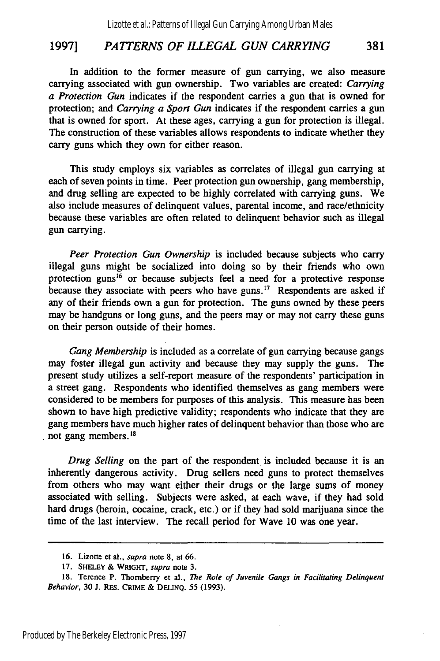#### 1997] *PATTERNS OF ILLEGAL GUN CARRYING* 381

In addition to the former measure of gun carrying, we also measure carrying associated with gun ownership. Two variables are created: *Carrying a Protection Gun* indicates if the respondent carries a gun that is owned for protection; and *Carrying a Sport Gun* indicates if the respondent carries a gun that is owned for sport. At these ages, carrying a gun for protection is illegal. The construction of these variables allows respondents to indicate whether they carry guns which they own for either reason.

This study employs six variables as correlates of illegal gun carrying at each of seven points in time. Peer protection gun ownership, gang membership, and drug selling are expected to be highly correlated with carrying guns. We also include measures of delinquent values, parental income, and race/ethnicity because these variables are often related to delinquent behavior such as illegal gun carrying.

*Peer Protection Gun Ownership* is included because subjects who carry illegal guns might be socialized into doing so by their friends who own protection guns<sup>16</sup> or because subjects feel a need for a protective response because they associate with peers who have guns.<sup>17</sup> Respondents are asked if any of their friends own a gun for protection. The guns owned by these peers may be handguns or long guns, and the peers may or may not carry these guns on their person outside of their homes.

*Gang Membership* is included as a correlate of gun carrying because gangs may foster illegal gun activity and because they may supply the guns. The present study utilizes a self-report measure of the respondents' participation in a street gang. Respondents who identified themselves as gang members were considered to be members for purposes of this analysis. This measure has been shown to have high predictive validity; respondents who indicate that they are gang members have much higher rates of delinquent behavior than those who are not gang members. $^{18}$ 

*Drug Selling* on the part of the respondent is included because it is an inherently dangerous activity. Drug sellers need guns to protect themselves from others who may want either their drugs or the large sums of money associated with selling. Subjects were asked, at each wave, if they had sold hard drugs (heroin, cocaine, crack, etc.) or if they had sold marijuana since the time of the last interview. The recall period for Wave 10 was one year.

**<sup>16.</sup>** Lizotte et al., supra note 8, at **66.**

<sup>17.</sup> SHELEY & WRIGHT, supra note 3.

<sup>18.</sup> Terence P. Thornberry et al., *The* Role of Juvenile Gangs in Facilitating Delinquent Behavior, **30 J.** REs. CRIME & **DELINQ.** 55 **(1993).**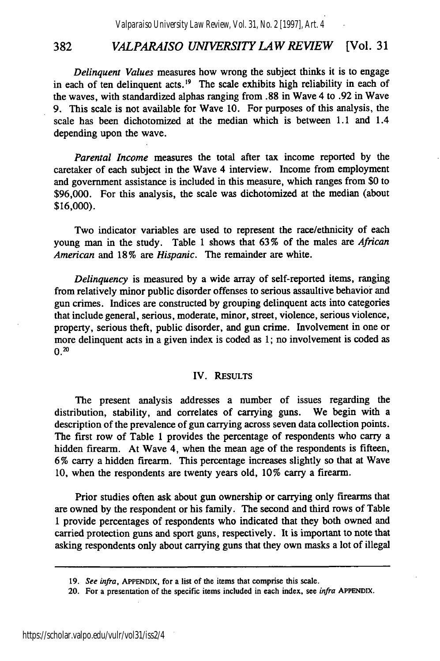*Delinquent Values* measures how wrong the subject thinks it is to engage in each of ten delinquent acts.<sup>19</sup> The scale exhibits high reliability in each of the waves, with standardized alphas ranging from .88 in Wave 4 to .92 in Wave 9. This scale is not available for Wave 10. For purposes of this analysis, the scale has been dichotomized at the median which is between 1.1 and 1.4 depending upon the wave.

*Parental Income* measures the total after tax income reported by the caretaker of each subject in the Wave 4 interview. Income from employment and government assistance is included in this measure, which ranges from \$0 to \$96,000. For this analysis, the scale was dichotomized at the median (about \$16,000).

Two indicator variables are used to represent the race/ethnicity of each young man in the study. Table 1 shows that 63% of the males are *African American* and 18% are *Hispanic.* The remainder are white.

*Delinquency* is measured by a wide array of self-reported items, ranging from relatively minor public disorder offenses to serious assaultive behavior and gun crimes. Indices are constructed by grouping delinquent acts into categories that include general, serious, moderate, minor, street, violence, serious violence, property, serious theft, public disorder, and gun crime. Involvement in one or more delinquent acts in a given index is coded as 1; no involvement is coded as  $0.20$ 

#### IV. **RESULTS**

The present analysis addresses a number of issues regarding the distribution, stability, and correlates of carrying guns. We begin with a description of the prevalence of gun carrying across seven data collection points. The first row of Table **1** provides the percentage of respondents who carry a hidden firearm. At Wave 4, when the mean age of the respondents is fifteen, **6 %** carry a hidden firearm. This percentage increases slightly so that at Wave **10,** when the respondents are twenty years old, **10%** carry a firearm.

Prior studies often ask about gun ownership or carrying only firearms that are owned **by** the respondent or his family. The second and third rows of Table **1** provide percentages of respondents who indicated that they both owned and carried protection guns and sport guns, respectively. It is important to note that asking respondents only about carrying guns that they own masks a lot of illegal

**<sup>19.</sup>** *See infra,* **APPENDIX,** for a list of the items that comprise this scale.

<sup>20.</sup> For a presentation of the specific items included in each index, see *infra* **APPENDIX.**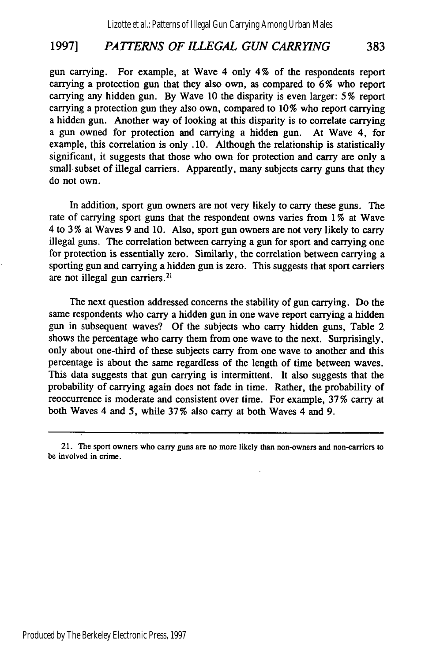#### **1997]** *PATTERNS OF ILLEGAL GUN CARRYING* 383

gun carrying. For example, at Wave 4 only 4% of the respondents report carrying a protection gun that they also own, as compared to 6% who report carrying any hidden gun. By Wave 10 the disparity is even larger: 5% report carrying a protection gun they also own, compared to 10% who report carrying a hidden gun. Another way of looking at this disparity is to correlate carrying a gun owned for protection and carrying a hidden gun. At Wave 4, for example, this correlation is only. 10. Although the relationship is statistically significant, it suggests that those who own for protection and carry are only a small subset of illegal carriers. Apparently, many subjects carry guns that they do not own.

In addition, sport gun owners are not very likely to carry these guns. The rate of carrying sport guns that the respondent owns varies from 1% at Wave 4 to 3 % at Waves 9 and 10. Also, sport gun owners are not very likely to carry illegal guns. The correlation between carrying a gun for sport and carrying one for protection is essentially zero. Similarly, the correlation between carrying a sporting gun and carrying a hidden gun is zero. This suggests that sport carriers are not illegal gun carriers.<sup>21</sup>

The next question addressed concerns the stability of gun carrying. Do the same respondents who carry a hidden gun in one wave report carrying a hidden gun in subsequent waves? Of the subjects who carry hidden guns, Table 2 shows the percentage who carry them from one wave to the next. Surprisingly, only about one-third of these subjects carry from one wave to another and this percentage is about the same regardless of the length of time between waves. This data suggests that gun carrying is intermittent. It also suggests that the probability of carrying again does not fade in time. Rather, the probability of reoccurrence is moderate and consistent over time. For example, 37 % carry at both Waves 4 and 5, while 37% also carry at both Waves 4 and 9.

<sup>21.</sup> The sport owners who carry guns are no more likely than non-owners and non-carriers to be involved in crime.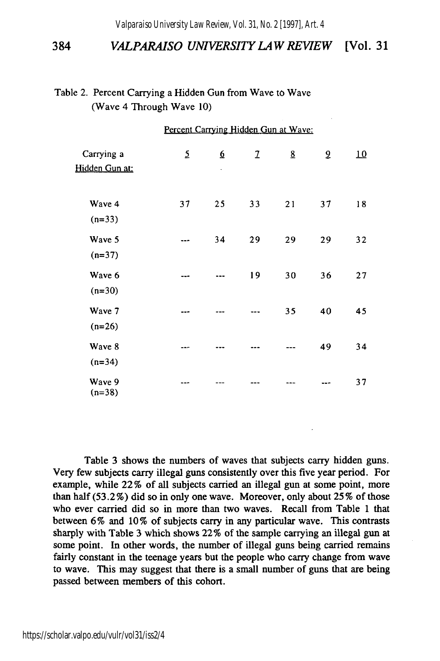*Valparaiso University Law Review, Vol. 31, No. 2 [1997], Art. 4*

#### 384 *VALPARAISO UNIVERSITY LAW REVIEW* [Vol. 31

| Table 2. Percent Carrying a Hidden Gun from Wave to Wave |
|----------------------------------------------------------|
| (Wave 4 Through Wave 10)                                 |

| Percent Carrying Hidden Gun at Wave: |    |                |               |                 |    |    |  |  |
|--------------------------------------|----|----------------|---------------|-----------------|----|----|--|--|
| Carrying a<br>Hidden Gun at:         | 5  | <u>б</u><br>ł, | $\mathfrak 1$ | $\underline{8}$ | 2  | 10 |  |  |
| Wave 4<br>$(n=33)$                   | 37 | 25             | 33            | 21              | 37 | 18 |  |  |
| Wave 5<br>$(n=37)$                   |    | 34             | 29            | 29              | 29 | 32 |  |  |
| Wave 6<br>$(n=30)$                   |    |                | 19            | 30              | 36 | 27 |  |  |
| Wave 7<br>$(n=26)$                   |    |                |               | 35              | 40 | 45 |  |  |
| Wave 8<br>$(n=34)$                   |    |                |               |                 | 49 | 34 |  |  |
| Wave 9<br>$(n=38)$                   |    |                |               |                 |    | 37 |  |  |

Table 3 shows the numbers of waves that subjects carry hidden guns. Very few subjects carry illegal guns consistently over this five year period. For example, while 22% of all subjects carried an illegal gun at some point, more than half (53.2%) did so in only one wave. Moreover, only about 25% of those who ever carried did so in more than two waves. Recall from Table 1 that between 6% and 10% of subjects carry in any particular wave. This contrasts sharply with Table 3 which shows 22% of the sample carrying an illegal gun at some point. In other words, the number of illegal guns being carried remains fairly constant in the teenage years but the people who carry change from wave to wave. This may suggest that there is a small number of guns that are being passed between members of this cohort.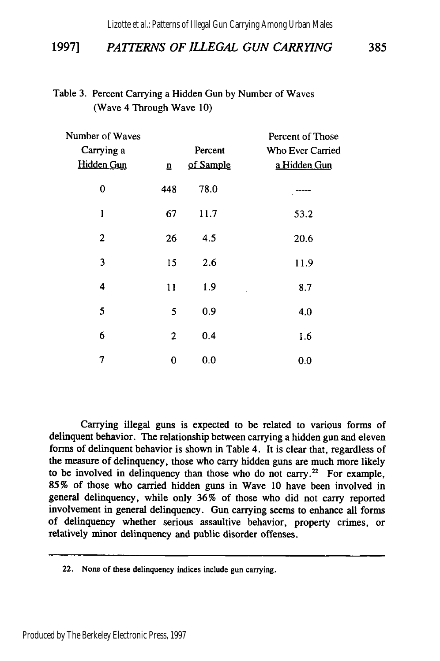Lizotte et al.: Patterns of Illegal Gun Carrying Among Urban Males

#### 1997] *PATTERNS OF ILLEGAL GUN CARRYING* 385

#### Table 3. Percent Carrying a Hidden Gun by Number of Waves (Wave 4 Through Wave 10)

| Number of Waves<br>Carrying a<br><b>Hidden Gun</b> | $\overline{\mathbf{n}}$ | Percent<br>of Sample | Percent of Those<br><b>Who Ever Carried</b><br>a Hidden Gun |
|----------------------------------------------------|-------------------------|----------------------|-------------------------------------------------------------|
| 0                                                  | 448                     | 78.0                 |                                                             |
| $\mathbf{1}$                                       | 67                      | 11.7                 | 53.2                                                        |
| 2                                                  | 26                      | 4.5                  | 20.6                                                        |
| 3                                                  | 15                      | 2.6                  | 11.9                                                        |
| 4                                                  | 11                      | 1.9                  | 8.7                                                         |
| 5                                                  | 5                       | 0.9                  | 4.0                                                         |
| 6                                                  | $\overline{2}$          | 0.4                  | 1.6                                                         |
| 7                                                  | 0                       | 0.0                  | 0.0                                                         |

Carrying illegal guns is expected to be related to various forms of delinquent behavior. The relationship between carrying a hidden gun and eleven forms of delinquent behavior is shown in Table 4. It is clear that, regardless of the measure of delinquency, those who carry hidden guns are much more likely to be involved in delinquency than those who do not carry.<sup>22</sup> For example, **85%** of those who carried hidden guns in Wave 10 have been involved in general delinquency, while only **36%** of those who did not carry reported involvement in general delinquency. Gun carrying seems to enhance all forms of delinquency whether serious assaultive behavior, property crimes, or relatively minor delinquency and public disorder offenses.

<sup>22.</sup> None of these delinquency indices include gun carrying.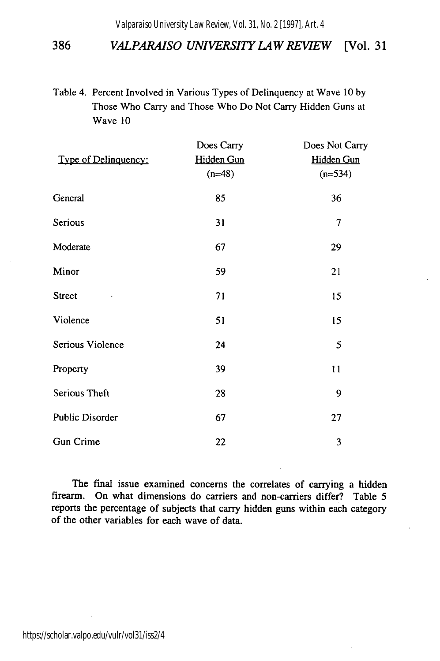*Valparaiso University Law Review, Vol. 31, No. 2 [1997], Art. 4*

#### 386 *VALPARAISO UNIVERSITY LAW REVIEW* [Vol. **31**

Table 4. Percent Involved in Various Types of Delinquency at Wave 10 by Those Who Carry and Those Who Do Not Carry Hidden Guns at Wave **10**

|                        | Does Carry | Does Not Carry |
|------------------------|------------|----------------|
| Type of Delinquency:   | Hidden Gun | Hidden Gun     |
|                        | $(n=48)$   | $(n=534)$      |
| General                | 85         | 36             |
| Serious                | 31         | 7              |
| Moderate               | 67         | 29             |
| Minor                  | 59         | 21             |
| <b>Street</b>          | 71         | 15             |
| Violence               | 51         | 15             |
| Serious Violence       | 24         | 5              |
| Property               | 39         | 11             |
| Serious Theft          | 28         | 9              |
| <b>Public Disorder</b> | 67         | 27             |
| <b>Gun Crime</b>       | 22         | 3              |

The final issue examined concerns the correlates of carrying a hidden firearm. On what dimensions do carriers and non-carriers differ? Table 5 reports the percentage of subjects that carry hidden guns within each category of the other variables for each wave of data.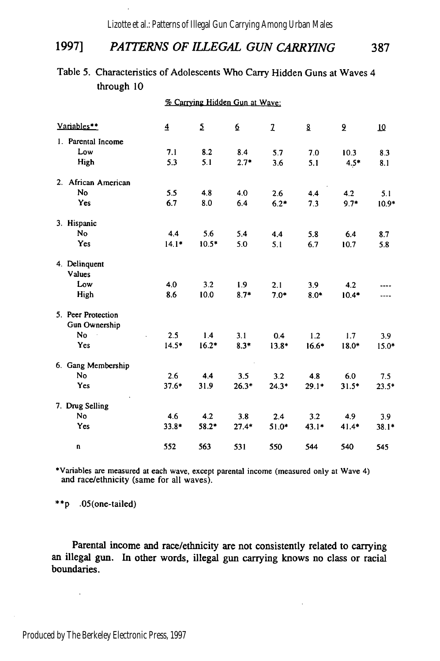Lizotte et al.: Patterns of Illegal Gun Carrying Among Urban Males

### **1997]** *PATTERNS OF ILLEGAL GUN CARRYING* **387**

#### Table **5.** Characteristics of Adolescents Who Carry Hidden Guns at Waves 4 through **10**

**%** Carrying Hidden Gun at Wave:

| Variables**         | $\overline{4}$ | $\mathsf{S}\hspace{-.15em}$ | $6 \overline{6}$ | 2       | 8       | 2       | 10      |  |
|---------------------|----------------|-----------------------------|------------------|---------|---------|---------|---------|--|
| 1. Parental Income  |                |                             |                  |         |         |         |         |  |
| Low                 | 7.1            | 8.2                         | 8.4              | 5.7     | 7.0     | 10.3    | 8.3     |  |
| High                | 5.3            | 5.1                         | $2.7*$           | 3.6     | 5.1     | $4.5*$  | 8.1     |  |
| 2. African American |                |                             |                  |         |         |         |         |  |
| No                  | 5.5            | 4.8                         | 4.0              | 2.6     | 4.4     | 4.2     | 5.1     |  |
| Yes                 | 6.7            | 8.0                         | 6.4              | $6.2*$  | 7.3     | $9.7*$  | $10.9*$ |  |
| 3. Hispanic         |                |                             |                  |         |         |         |         |  |
| No                  | 4.4            | 5.6                         | 5.4              | 4.4     | 5.8     | 6.4     | 8.7     |  |
| Yes                 | $14.1*$        | $10.5*$                     | 5.0              | 5.1     | 6.7     | 10.7    | 5.8     |  |
| 4. Delinquent       |                |                             |                  |         |         |         |         |  |
| Values              |                |                             |                  |         |         |         |         |  |
| Low                 | 4.0            | 3.2                         | 1.9              | 2.1     | 3.9     | 4.2     |         |  |
| High                | 8.6            | 10.0                        | $8.7*$           | $7.0*$  | $8.0*$  | $10.4*$ |         |  |
| 5. Peer Protection  |                |                             |                  |         |         |         |         |  |
| Gun Ownership       |                |                             |                  |         |         |         |         |  |
| <b>No</b>           | 2.5            | 1.4                         | 3.1              | 0.4     | 1.2     | 1.7     | 3.9     |  |
| Yes                 | $14.5*$        | $16.2*$                     | $8.3*$           | $13.8*$ | $16.6*$ | $18.0*$ | $15.0*$ |  |
| 6. Gang Membership  |                |                             |                  |         |         |         |         |  |
| No                  | 2.6            | 4.4                         | 3.5              | 3.2     | 4.8     | 6.0     | 7.5     |  |
| Yes                 | $37.6*$        | 31.9                        | $26.3*$          | $24.3*$ | $29.1*$ | $31.5*$ | $23.5*$ |  |
| 7. Drug Selling     |                |                             |                  |         |         |         |         |  |
| No                  | 4.6            | 4.2                         | 3.8              | 2.4     | 3.2     | 4.9     | 3.9     |  |
| Yes                 | $33.8*$        | $58.2*$                     | $27.4*$          | 51.0*   | $43.1*$ | $41.4*$ | $38.1*$ |  |
| U                   | 552            | 563                         | 531              | 550     | 544     | 540     | 545     |  |

\*Variables are measured at each wave, except parental income (measured only at Wave 4) and race/ethnicity (same for all waves).

**\*\*p** .05(one-tailed)

Parental income and race/ethnicity are not consistently related to carrying an illegal gun. In other words, illegal gun carrying knows no class or racial boundaries.

 $\ddot{\phantom{1}}$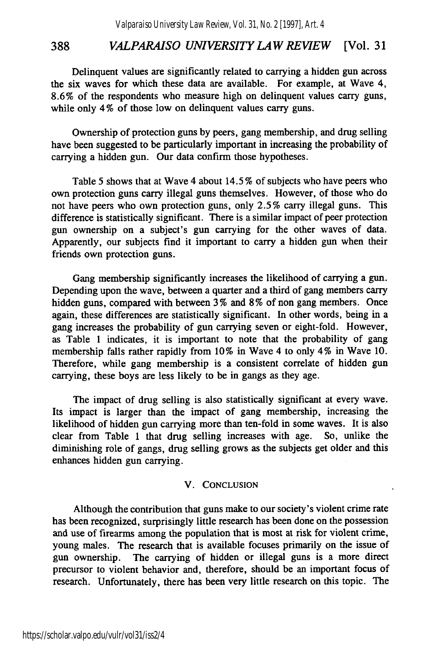Delinquent values are significantly related to carrying a hidden gun across the six waves for which these data are available. For example, at Wave 4, 8.6% of the respondents who measure high on delinquent values carry guns, while only 4% of those low on delinquent values carry guns.

Ownership of protection guns by peers, gang membership, and drug selling have been suggested to be particularly important in increasing the probability of carrying a hidden gun. Our data confirm those hypotheses.

Table 5 shows that at Wave 4 about 14.5 % of subjects who have peers who own protection guns carry illegal guns themselves. However, of those who do not have peers who own protection guns, only 2.5% carry illegal guns. This difference is statistically significant. There is a similar impact of peer protection gun ownership on a subject's gun carrying for the other waves of data. Apparently, our subjects find it important to carry a hidden gun when their friends own protection guns.

Gang membership significantly increases the likelihood of carrying a gun. Depending upon the wave, between a quarter and a third of gang members carry hidden guns, compared with between 3% and 8% of non gang members. Once again, these differences are statistically significant. In other words, being in a gang increases the probability of gun carrying seven or eight-fold. However, as Table 1 indicates, it is important to note that the probability of gang membership falls rather rapidly from 10% in Wave 4 to only 4% in Wave 10. Therefore, while gang membership is a consistent correlate of hidden gun carrying, these boys are less likely to be in gangs as they age.

The impact of drug selling is also statistically significant at every wave. Its impact is larger than the impact of gang membership, increasing the likelihood of hidden gun carrying more than ten-fold in some waves. It is also clear from Table 1 that drug selling increases with age. So, unlike the diminishing role of gangs, drug selling grows as the subjects get older and this enhances hidden gun carrying.

#### V. **CONCLUSION**

Although the contribution that guns make to our society's violent crime rate has been recognized, surprisingly little research has been done on the possession and use of firearms among the population that is most at risk for violent crime, young males. The research that is available focuses primarily on the issue of gun ownership. The carrying of hidden or illegal guns is a more direct precursor to violent behavior and, therefore, should be an important focus of research. Unfortunately, there has been very little research on this topic. The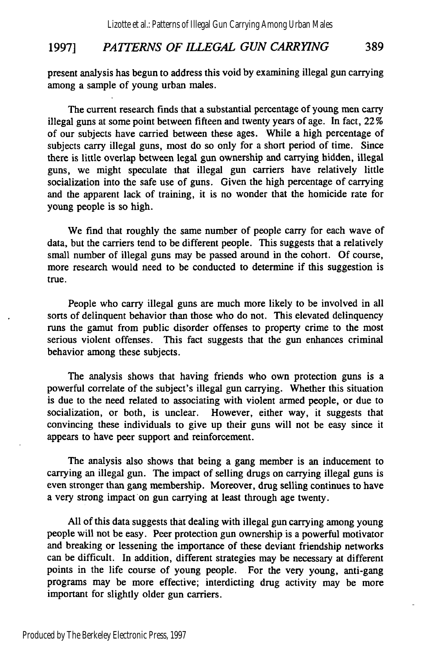#### 1997] *PATTERNS OF ILLEGAL GUN CARRYING* 389

present analysis has begun to address this void by examining illegal gun carrying among a sample of young urban males.

The current research finds that a substantial percentage of young men carry illegal guns at some point between fifteen and twenty years of age. In fact, 22 **%** of our subjects have carried between these ages. While a high percentage of subjects carry illegal guns, most do so only for a short period of time. Since there is little overlap between legal gun ownership and carrying hidden, illegal guns, we might speculate that illegal gun carriers have relatively little socialization into the safe use of guns. Given the high percentage of carrying and the apparent lack of training, it is no wonder that the homicide rate for young people is so high.

We find that roughly the same number of people carry for each wave of data, but the carriers tend to be different people. This suggests that a relatively small number of illegal guns may be passed around in the cohort. Of course, more research would need to be conducted to determine if this suggestion is true.

People who carry illegal guns are much more likely to be involved in all sorts of delinquent behavior than those who do not. This elevated delinquency runs the gamut from public disorder offenses to property crime to the most serious violent offenses. This fact suggests that the gun enhances criminal behavior among these subjects.

The analysis shows that having friends who own protection guns is a powerful correlate of the subject's illegal gun carrying. Whether this situation is due to the need related to associating with violent armed people, or due to socialization, or both, is unclear. However, either way, it suggests that convincing these individuals to give up their guns will not be easy since it appears to have peer support and reinforcement.

The analysis also shows that being a gang member is an inducement to carrying an illegal gun. The impact of selling drugs on carrying illegal guns is even stronger than gang membership. Moreover, drug selling continues to have a very strong impact on gun carrying at least through age twenty.

All of this data suggests that dealing with illegal gun carrying among young people will not be easy. Peer protection gun ownership is a powerful motivator and breaking or lessening the importance of these deviant friendship networks can be difficult. In addition, different strategies may be necessary at different points in the life course of young people. For the very young, anti-gang programs may be more effective; interdicting drug activity may be more important for slightly older gun carriers.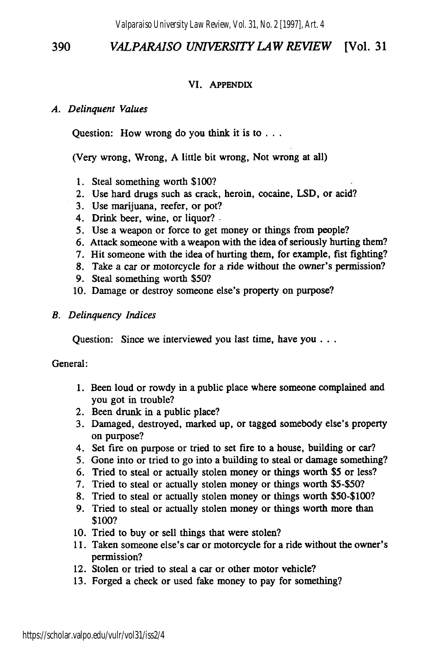#### **VI. APPENDIX**

#### *A. Delinquent Values*

Question: How wrong do you think it is **to...**

(Very wrong, Wrong, A little bit wrong, Not wrong at all)

- 1. Steal something worth \$100?
- 2. Use hard drugs such as crack, heroin, cocaine, LSD, or acid?
- 3. Use marijuana, reefer, or pot?
- 4. Drink beer, wine, or liquor?.
- *5.* Use a weapon or force to get money or things from people?
- **6.** Attack someone with a weapon with the idea of seriously hurting them?
- 7. Hit someone with the idea of hurting them, for example, fist fighting?
- 8. Take a car or motorcycle for a ride without the owner's permission?
- 9. Steal something worth \$50?
- 10. Damage or destroy someone else's property on purpose?
- *B. Delinquency Indices*

Question: Since we interviewed you last time, have you...

General:

- 1. Been loud or rowdy in a public place where someone complained and you got in trouble?
- 2. Been drunk in a public place?
- 3. Damaged, destroyed, marked up, or tagged somebody else's property on purpose?
- 4. Set fire on purpose or tried to set fire to a house, building or car?
- 5. Gone into or tried to go into a building to steal or damage something?
- 6. Tried to steal or actually stolen money or things worth \$5 or less?
- 7. Tried to steal or actually stolen money or things worth \$5-\$50?
- 8. Tried to steal or actually stolen money or things worth \$50-\$100?
- 9. Tried to steal or actually stolen money or things worth more than \$100?
- 10. Tried to buy or sell things that were stolen?
- 11. Taken someone else's car or motorcycle for a ride without the owner's permission?
- 12. Stolen or tried to steal a car or other motor vehicle?
- 13. Forged a check or used fake money to pay for something?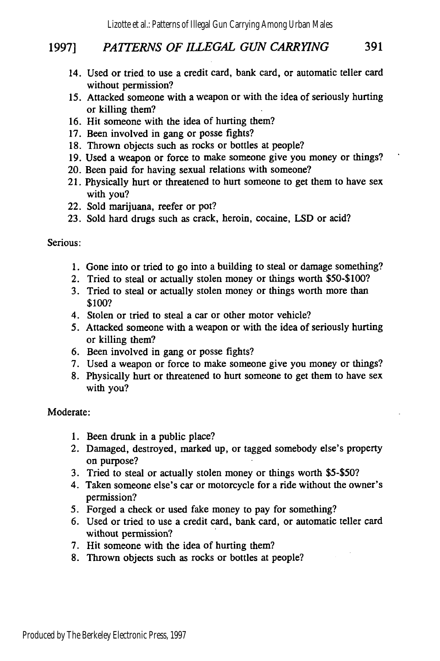#### **<sup>19971</sup>***PAITERNS OF ILLEGAL GUN CARRYING* 391

- 14. Used or tried to use a credit card, bank card, or automatic teller card without permission?
- *15.* Attacked someone with a weapon or with the idea of seriously hurting or killing them?
- 16. Hit someone with the idea of hurting them?
- 17. Been involved in gang or posse fights?
- 18. Thrown objects such as rocks or bottles at people?
- 19. Used a weapon or force to make someone give you money or things?
- 20. Been paid for having sexual relations with someone?
- 21. Physically hurt or threatened to hurt someone to get them to have sex with you?
- 22. Sold marijuana, reefer or pot?
- 23. Sold hard drugs such as crack, heroin, cocaine, LSD or acid?

Serious:

- 1. Gone into or tried to go into a building to steal or damage something?
- 2. Tried to steal or actually stolen money or things worth \$50-\$100?
- 3. Tried to steal or actually stolen money or things worth more than \$100?
- 4. Stolen or tried to steal a car or other motor vehicle?
- *5.* Attacked someone with a weapon or with the idea of seriously hurting or killing them?
- 6. Been involved in gang or posse fights?
- 7. Used a weapon or force to make someone give you money or things?
- 8. Physically hurt or threatened to hurt someone to get them to have sex with you?

Moderate:

- 1. Been drunk in a public place?
- 2. Damaged, destroyed, marked up, or tagged somebody else's property on purpose?
- 3. Tried to steal or actually stolen money or things worth \$5-\$50?
- 4. Taken someone else's car or motorcycle for a ride without the owner's permission?
- 5. Forged a check or used fake money to pay for something?
- 6. Used or tried to use a credit card, bank card, or automatic teller card without permission?
- 7. Hit someone with the idea of hurting them?
- 8. Thrown objects such as rocks or bottles at people?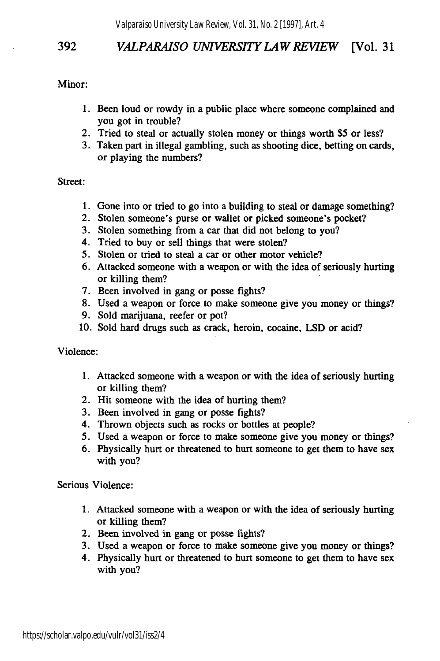Minor:

- 1. Been loud or rowdy in a public place where someone complained and you got in trouble?
- 2. Tried to steal or actually stolen money or things worth \$5 or less?
- 3. Taken part in illegal gambling, such as shooting dice, betting on cards, or playing the numbers?

#### Street:

- 1. Gone into or tried to go into a building to steal or damage something?
- 2. Stolen someone's purse or wallet or picked someone's pocket?
- 3. Stolen something from a car that did not belong to you?
- 4. Tried to buy or sell things that were stolen?
- 5. Stolen or tried to steal a car or other motor vehicle?
- 6. Attacked someone with a weapon or with the idea of seriously hurting or killing them?
- 7. Been involved in gang or posse fights?
- 8. Used a weapon or force to make someone give you money or things?
- 9. Sold marijuana, reefer or pot?
- 10. Sold hard drugs such as crack, heroin, cocaine, LSD or acid?

Violence:

- 1. Attacked someone with a weapon or with the idea of seriously hurting or killing them?
- 2. Hit someone with the idea of hurting them?
- 3. Been involved in gang or posse fights?
- 4. Thrown objects such as rocks or bottles at people?
- 5. Used a weapon or force to make someone give you money or things?
- 6. Physically hurt or threatened to hurt someone to get them to have sex with you?

Serious Violence:

- 1. Attacked someone with a weapon or with the idea of seriously hurting or killing them?
- 2. Been involved in gang or posse fights?
- 3. Used a weapon or force to make someone give you money or things?
- 4. Physically hurt or threatened to hurt someone to get them to have sex with you?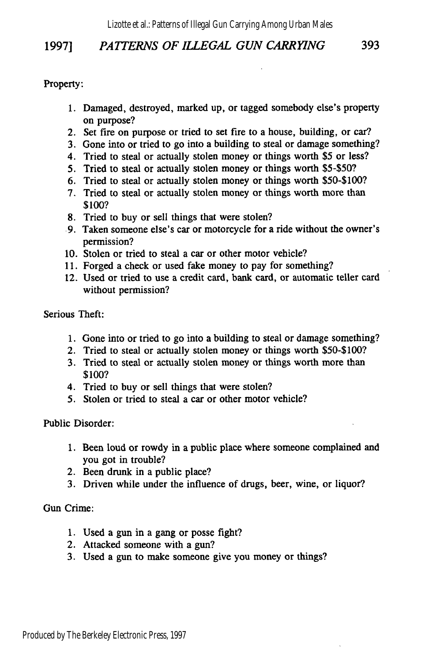#### 19971 *PATTERNS OF ILLEGAL GUN CARRYING* 393

Property:

- 1. Damaged, destroyed, marked up, or tagged somebody else's property on purpose?
- 2. Set fire on purpose or tried to set fire to a house, building, or car?
- 3. Gone into or tried to go into a building to steal or damage something?
- 4. Tried to steal or actually stolen money or things worth \$5 or less?
- 5. Tried to steal or actually stolen money or things worth \$5-\$50?
- 6. Tried to steal or actually stolen money or things worth \$50-\$100?
- 7. Tried to steal or actually stolen money or things worth more than \$100?
- 8. Tried to buy or sell things that were stolen?
- 9. Taken someone else's car or motorcycle for a ride without the owner's permission?
- 10. Stolen or tried to steal a car or other motor vehicle?
- 11. Forged a check or used fake money to pay for something?
- 12. Used or tried to use a credit card, bank card, or automatic teller card without permission?

Serious Theft:

- 1. Gone into or tried to go into a building to steal or damage something?
- 2. Tried to steal or actually stolen money or things worth \$50-\$100?
- 3. Tried to steal or actually stolen money or things worth more than \$100?
- 4. Tried to buy or sell things that were stolen?
- *5.* Stolen or tried to steal a car or other motor vehicle?

Public Disorder:

- 1. Been loud or rowdy in a public place where someone complained and you got in trouble?
- 2. Been drunk in a public place?
- 3. Driven while under the influence of drugs, beer, wine, or liquor?

Gun Crime:

- 1. Used a gun in a gang or posse fight?
- 2. Attacked someone with a gun?
- 3. Used a gun to make someone give you money or things?